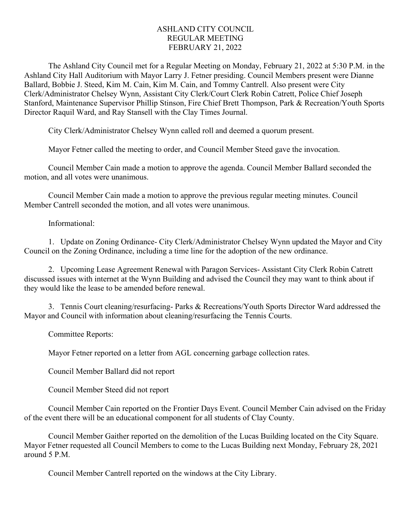## ASHLAND CITY COUNCIL REGULAR MEETING FEBRUARY 21, 2022

The Ashland City Council met for a Regular Meeting on Monday, February 21, 2022 at 5:30 P.M. in the Ashland City Hall Auditorium with Mayor Larry J. Fetner presiding. Council Members present were Dianne Ballard, Bobbie J. Steed, Kim M. Cain, Kim M. Cain, and Tommy Cantrell. Also present were City Clerk/Administrator Chelsey Wynn, Assistant City Clerk/Court Clerk Robin Catrett, Police Chief Joseph Stanford, Maintenance Supervisor Phillip Stinson, Fire Chief Brett Thompson, Park & Recreation/Youth Sports Director Raquil Ward, and Ray Stansell with the Clay Times Journal.

City Clerk/Administrator Chelsey Wynn called roll and deemed a quorum present.

Mayor Fetner called the meeting to order, and Council Member Steed gave the invocation.

Council Member Cain made a motion to approve the agenda. Council Member Ballard seconded the motion, and all votes were unanimous.

Council Member Cain made a motion to approve the previous regular meeting minutes. Council Member Cantrell seconded the motion, and all votes were unanimous.

Informational:

1. Update on Zoning Ordinance- City Clerk/Administrator Chelsey Wynn updated the Mayor and City Council on the Zoning Ordinance, including a time line for the adoption of the new ordinance.

2. Upcoming Lease Agreement Renewal with Paragon Services- Assistant City Clerk Robin Catrett discussed issues with internet at the Wynn Building and advised the Council they may want to think about if they would like the lease to be amended before renewal.

3. Tennis Court cleaning/resurfacing- Parks & Recreations/Youth Sports Director Ward addressed the Mayor and Council with information about cleaning/resurfacing the Tennis Courts.

Committee Reports:

Mayor Fetner reported on a letter from AGL concerning garbage collection rates.

Council Member Ballard did not report

Council Member Steed did not report

Council Member Cain reported on the Frontier Days Event. Council Member Cain advised on the Friday of the event there will be an educational component for all students of Clay County.

Council Member Gaither reported on the demolition of the Lucas Building located on the City Square. Mayor Fetner requested all Council Members to come to the Lucas Building next Monday, February 28, 2021 around 5 P.M.

Council Member Cantrell reported on the windows at the City Library.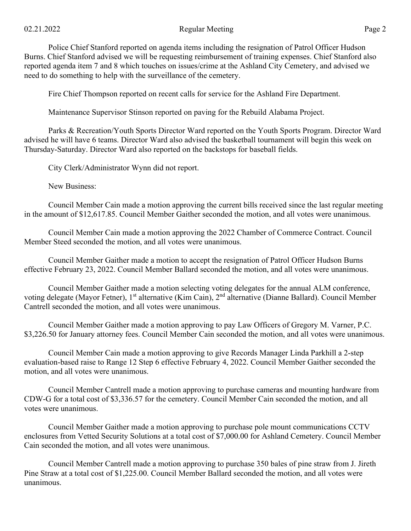Police Chief Stanford reported on agenda items including the resignation of Patrol Officer Hudson Burns. Chief Stanford advised we will be requesting reimbursement of training expenses. Chief Stanford also reported agenda item 7 and 8 which touches on issues/crime at the Ashland City Cemetery, and advised we need to do something to help with the surveillance of the cemetery.

Fire Chief Thompson reported on recent calls for service for the Ashland Fire Department.

Maintenance Supervisor Stinson reported on paving for the Rebuild Alabama Project.

Parks & Recreation/Youth Sports Director Ward reported on the Youth Sports Program. Director Ward advised he will have 6 teams. Director Ward also advised the basketball tournament will begin this week on Thursday-Saturday. Director Ward also reported on the backstops for baseball fields.

City Clerk/Administrator Wynn did not report.

New Business:

Council Member Cain made a motion approving the current bills received since the last regular meeting in the amount of \$12,617.85. Council Member Gaither seconded the motion, and all votes were unanimous.

Council Member Cain made a motion approving the 2022 Chamber of Commerce Contract. Council Member Steed seconded the motion, and all votes were unanimous.

Council Member Gaither made a motion to accept the resignation of Patrol Officer Hudson Burns effective February 23, 2022. Council Member Ballard seconded the motion, and all votes were unanimous.

Council Member Gaither made a motion selecting voting delegates for the annual ALM conference, voting delegate (Mayor Fetner), 1<sup>st</sup> alternative (Kim Cain), 2<sup>nd</sup> alternative (Dianne Ballard). Council Member Cantrell seconded the motion, and all votes were unanimous.

Council Member Gaither made a motion approving to pay Law Officers of Gregory M. Varner, P.C. \$3,226.50 for January attorney fees. Council Member Cain seconded the motion, and all votes were unanimous.

Council Member Cain made a motion approving to give Records Manager Linda Parkhill a 2-step evaluation-based raise to Range 12 Step 6 effective February 4, 2022. Council Member Gaither seconded the motion, and all votes were unanimous.

Council Member Cantrell made a motion approving to purchase cameras and mounting hardware from CDW-G for a total cost of \$3,336.57 for the cemetery. Council Member Cain seconded the motion, and all votes were unanimous.

Council Member Gaither made a motion approving to purchase pole mount communications CCTV enclosures from Vetted Security Solutions at a total cost of \$7,000.00 for Ashland Cemetery. Council Member Cain seconded the motion, and all votes were unanimous.

Council Member Cantrell made a motion approving to purchase 350 bales of pine straw from J. Jireth Pine Straw at a total cost of \$1,225.00. Council Member Ballard seconded the motion, and all votes were unanimous.